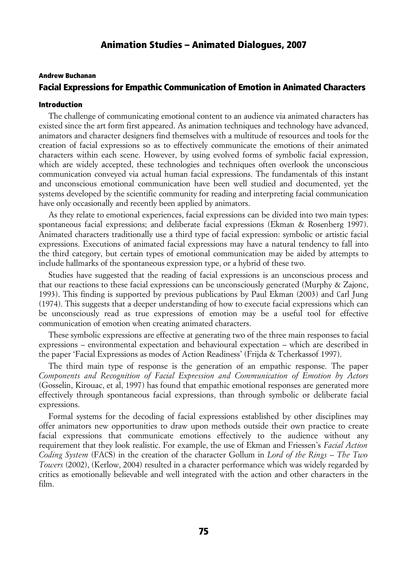## Andrew Buchanan Facial Expressions for Empathic Communication of Emotion in Animated Characters

### Introduction

The challenge of communicating emotional content to an audience via animated characters has existed since the art form first appeared. As animation techniques and technology have advanced, animators and character designers find themselves with a multitude of resources and tools for the creation of facial expressions so as to effectively communicate the emotions of their animated characters within each scene. However, by using evolved forms of symbolic facial expression, which are widely accepted, these technologies and techniques often overlook the unconscious communication conveyed via actual human facial expressions. The fundamentals of this instant and unconscious emotional communication have been well studied and documented, yet the systems developed by the scientific community for reading and interpreting facial communication have only occasionally and recently been applied by animators.

As they relate to emotional experiences, facial expressions can be divided into two main types: spontaneous facial expressions; and deliberate facial expressions (Ekman & Rosenberg 1997). Animated characters traditionally use a third type of facial expression: symbolic or artistic facial expressions. Executions of animated facial expressions may have a natural tendency to fall into the third category, but certain types of emotional communication may be aided by attempts to include hallmarks of the spontaneous expression type, or a hybrid of these two.

Studies have suggested that the reading of facial expressions is an unconscious process and that our reactions to these facial expressions can be unconsciously generated (Murphy & Zajonc, 1993). This finding is supported by previous publications by Paul Ekman (2003) and Carl Jung (1974). This suggests that a deeper understanding of how to execute facial expressions which can be unconsciously read as true expressions of emotion may be a useful tool for effective communication of emotion when creating animated characters.

These symbolic expressions are effective at generating two of the three main responses to facial expressions – environmental expectation and behavioural expectation – which are described in the paper 'Facial Expressions as modes of Action Readiness' (Frijda & Tcherkassof 1997).

The third main type of response is the generation of an empathic response. The paper *Components and Recognition of Facial Expression and Communication of Emotion by Actors* (Gosselin, Kirouac, et al, 1997) has found that empathic emotional responses are generated more effectively through spontaneous facial expressions, than through symbolic or deliberate facial expressions.

Formal systems for the decoding of facial expressions established by other disciplines may offer animators new opportunities to draw upon methods outside their own practice to create facial expressions that communicate emotions effectively to the audience without any requirement that they look realistic. For example, the use of Ekman and Friessen's *Facial Action Coding System* (FACS) in the creation of the character Gollum in *Lord of the Rings – The Two Towers* (2002), (Kerlow, 2004) resulted in a character performance which was widely regarded by critics as emotionally believable and well integrated with the action and other characters in the film.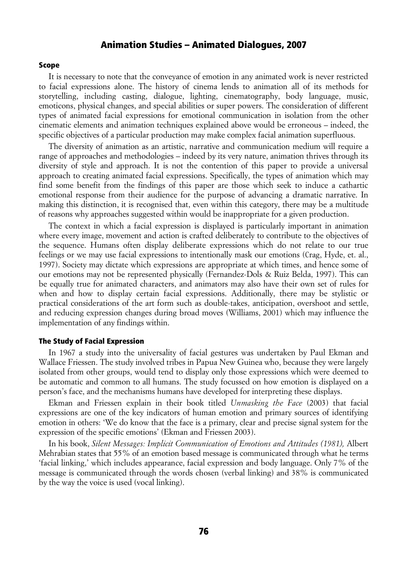### Scope

It is necessary to note that the conveyance of emotion in any animated work is never restricted to facial expressions alone. The history of cinema lends to animation all of its methods for storytelling, including casting, dialogue, lighting, cinematography, body language, music, emoticons, physical changes, and special abilities or super powers. The consideration of different types of animated facial expressions for emotional communication in isolation from the other cinematic elements and animation techniques explained above would be erroneous – indeed, the specific objectives of a particular production may make complex facial animation superfluous.

The diversity of animation as an artistic, narrative and communication medium will require a range of approaches and methodologies – indeed by its very nature, animation thrives through its diversity of style and approach. It is not the contention of this paper to provide a universal approach to creating animated facial expressions. Specifically, the types of animation which may find some benefit from the findings of this paper are those which seek to induce a cathartic emotional response from their audience for the purpose of advancing a dramatic narrative. In making this distinction, it is recognised that, even within this category, there may be a multitude of reasons why approaches suggested within would be inappropriate for a given production.

The context in which a facial expression is displayed is particularly important in animation where every image, movement and action is crafted deliberately to contribute to the objectives of the sequence. Humans often display deliberate expressions which do not relate to our true feelings or we may use facial expressions to intentionally mask our emotions (Crag, Hyde, et. al., 1997). Society may dictate which expressions are appropriate at which times, and hence some of our emotions may not be represented physically (Fernandez-Dols & Ruiz Belda, 1997). This can be equally true for animated characters, and animators may also have their own set of rules for when and how to display certain facial expressions. Additionally, there may be stylistic or practical considerations of the art form such as double-takes, anticipation, overshoot and settle, and reducing expression changes during broad moves (Williams, 2001) which may influence the implementation of any findings within.

### The Study of Facial Expression

In 1967 a study into the universality of facial gestures was undertaken by Paul Ekman and Wallace Friessen. The study involved tribes in Papua New Guinea who, because they were largely isolated from other groups, would tend to display only those expressions which were deemed to be automatic and common to all humans. The study focussed on how emotion is displayed on a person's face, and the mechanisms humans have developed for interpreting these displays.

Ekman and Friessen explain in their book titled *Unmasking the Face* (2003) that facial expressions are one of the key indicators of human emotion and primary sources of identifying emotion in others: 'We do know that the face is a primary, clear and precise signal system for the expression of the specific emotions' (Ekman and Friessen 2003).

In his book, *Silent Messages: Implicit Communication of Emotions and Attitudes (1981),* Albert Mehrabian states that 55% of an emotion based message is communicated through what he terms 'facial linking,' which includes appearance, facial expression and body language. Only 7% of the message is communicated through the words chosen (verbal linking) and 38% is communicated by the way the voice is used (vocal linking).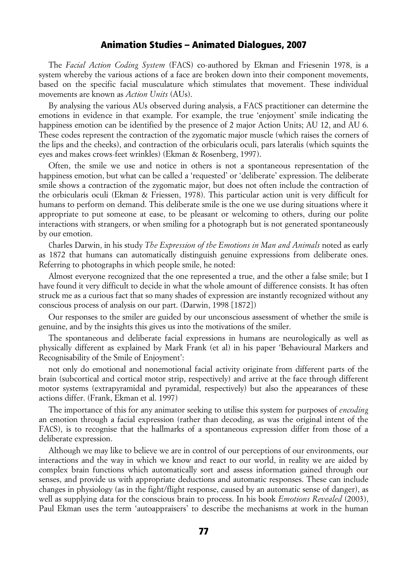The *Facial Action Coding System* (FACS) co-authored by Ekman and Friesenin 1978, is a system whereby the various actions of a face are broken down into their component movements, based on the specific facial musculature which stimulates that movement. These individual movements are known as *Action Units* (AUs).

By analysing the various AUs observed during analysis, a FACS practitioner can determine the emotions in evidence in that example. For example, the true 'enjoyment' smile indicating the happiness emotion can be identified by the presence of 2 major Action Units; AU 12, and AU 6. These codes represent the contraction of the zygomatic major muscle (which raises the corners of the lips and the cheeks), and contraction of the orbicularis oculi, pars lateralis (which squints the eyes and makes crows-feet wrinkles) (Ekman & Rosenberg, 1997).

Often, the smile we use and notice in others is not a spontaneous representation of the happiness emotion, but what can be called a 'requested' or 'deliberate' expression. The deliberate smile shows a contraction of the zygomatic major, but does not often include the contraction of the orbicularis oculi (Ekman & Friessen, 1978). This particular action unit is very difficult for humans to perform on demand. This deliberate smile is the one we use during situations where it appropriate to put someone at ease, to be pleasant or welcoming to others, during our polite interactions with strangers, or when smiling for a photograph but is not generated spontaneously by our emotion.

Charles Darwin, in his study *The Expression of the Emotions in Man and Animals* noted as early as 1872 that humans can automatically distinguish genuine expressions from deliberate ones. Referring to photographs in which people smile, he noted:

Almost everyone recognized that the one represented a true, and the other a false smile; but I have found it very difficult to decide in what the whole amount of difference consists. It has often struck me as a curious fact that so many shades of expression are instantly recognized without any conscious process of analysis on our part. (Darwin, 1998 [1872])

Our responses to the smiler are guided by our unconscious assessment of whether the smile is genuine, and by the insights this gives us into the motivations of the smiler.

The spontaneous and deliberate facial expressions in humans are neurologically as well as physically different as explained by Mark Frank (et al) in his paper 'Behavioural Markers and Recognisability of the Smile of Enjoyment':

not only do emotional and nonemotional facial activity originate from different parts of the brain (subcortical and cortical motor strip, respectively) and arrive at the face through different motor systems (extrapyramidal and pyramidal, respectively) but also the appearances of these actions differ. (Frank, Ekman et al. 1997)

The importance of this for any animator seeking to utilise this system for purposes of *encoding* an emotion through a facial expression (rather than decoding, as was the original intent of the FACS), is to recognise that the hallmarks of a spontaneous expression differ from those of a deliberate expression.

Although we may like to believe we are in control of our perceptions of our environments, our interactions and the way in which we know and react to our world, in reality we are aided by complex brain functions which automatically sort and assess information gained through our senses, and provide us with appropriate deductions and automatic responses. These can include changes in physiology (as in the fight/flight response, caused by an automatic sense of danger), as well as supplying data for the conscious brain to process. In his book *Emotions Revealed* (2003), Paul Ekman uses the term 'autoappraisers' to describe the mechanisms at work in the human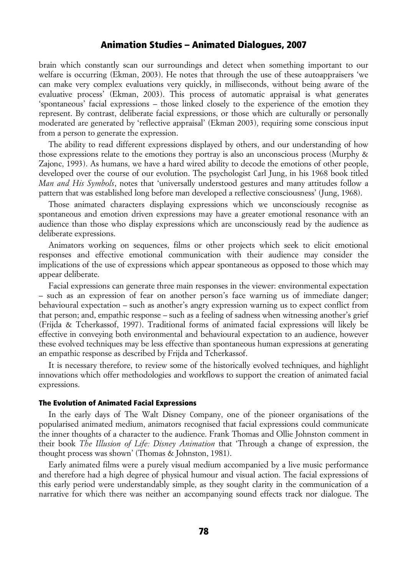brain which constantly scan our surroundings and detect when something important to our welfare is occurring (Ekman, 2003). He notes that through the use of these autoappraisers 'we can make very complex evaluations very quickly, in milliseconds, without being aware of the evaluative process' (Ekman, 2003). This process of automatic appraisal is what generates 'spontaneous' facial expressions – those linked closely to the experience of the emotion they represent. By contrast, deliberate facial expressions, or those which are culturally or personally moderated are generated by 'reflective appraisal' (Ekman 2003), requiring some conscious input from a person to generate the expression.

The ability to read different expressions displayed by others, and our understanding of how those expressions relate to the emotions they portray is also an unconscious process (Murphy & Zajonc, 1993). As humans, we have a hard wired ability to decode the emotions of other people, developed over the course of our evolution. The psychologist Carl Jung, in his 1968 book titled *Man and His Symbols*, notes that 'universally understood gestures and many attitudes follow a pattern that was established long before man developed a reflective consciousness' (Jung, 1968).

Those animated characters displaying expressions which we unconsciously recognise as spontaneous and emotion driven expressions may have a greater emotional resonance with an audience than those who display expressions which are unconsciously read by the audience as deliberate expressions.

Animators working on sequences, films or other projects which seek to elicit emotional responses and effective emotional communication with their audience may consider the implications of the use of expressions which appear spontaneous as opposed to those which may appear deliberate.

Facial expressions can generate three main responses in the viewer: environmental expectation – such as an expression of fear on another person's face warning us of immediate danger; behavioural expectation – such as another's angry expression warning us to expect conflict from that person; and, empathic response – such as a feeling of sadness when witnessing another's grief (Frijda & Tcherkassof, 1997). Traditional forms of animated facial expressions will likely be effective in conveying both environmental and behavioural expectation to an audience, however these evolved techniques may be less effective than spontaneous human expressions at generating an empathic response as described by Frijda and Tcherkassof.

It is necessary therefore, to review some of the historically evolved techniques, and highlight innovations which offer methodologies and workflows to support the creation of animated facial expressions.

#### The Evolution of Animated Facial Expressions

In the early days of The Walt Disney Company, one of the pioneer organisations of the popularised animated medium, animators recognised that facial expressions could communicate the inner thoughts of a character to the audience. Frank Thomas and Ollie Johnston comment in their book *The Illusion of Life: Disney Animation* that 'Through a change of expression, the thought process was shown' (Thomas & Johnston, 1981).

Early animated films were a purely visual medium accompanied by a live music performance and therefore had a high degree of physical humour and visual action. The facial expressions of this early period were understandably simple, as they sought clarity in the communication of a narrative for which there was neither an accompanying sound effects track nor dialogue. The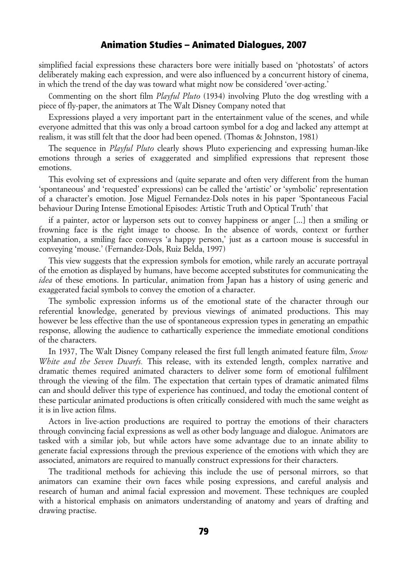simplified facial expressions these characters bore were initially based on 'photostats' of actors deliberately making each expression, and were also influenced by a concurrent history of cinema, in which the trend of the day was toward what might now be considered 'over-acting.'

Commenting on the short film *Playful Pluto* (1934) involving Pluto the dog wrestling with a piece of fly-paper, the animators at The Walt Disney Company noted that

Expressions played a very important part in the entertainment value of the scenes, and while everyone admitted that this was only a broad cartoon symbol for a dog and lacked any attempt at realism, it was still felt that the door had been opened. (Thomas & Johnston, 1981)

The sequence in *Playful Pluto* clearly shows Pluto experiencing and expressing human-like emotions through a series of exaggerated and simplified expressions that represent those emotions.

This evolving set of expressions and (quite separate and often very different from the human 'spontaneous' and 'requested' expressions) can be called the 'artistic' or 'symbolic' representation of a character's emotion. Jose Miguel Fernandez-Dols notes in his paper 'Spontaneous Facial behaviour During Intense Emotional Episodes: Artistic Truth and Optical Truth' that

if a painter, actor or layperson sets out to convey happiness or anger [...] then a smiling or frowning face is the right image to choose. In the absence of words, context or further explanation, a smiling face conveys 'a happy person,' just as a cartoon mouse is successful in conveying 'mouse.' (Fernandez-Dols, Ruiz Belda, 1997)

This view suggests that the expression symbols for emotion, while rarely an accurate portrayal of the emotion as displayed by humans, have become accepted substitutes for communicating the *idea* of these emotions. In particular, animation from Japan has a history of using generic and exaggerated facial symbols to convey the emotion of a character.

The symbolic expression informs us of the emotional state of the character through our referential knowledge, generated by previous viewings of animated productions. This may however be less effective than the use of spontaneous expression types in generating an empathic response, allowing the audience to cathartically experience the immediate emotional conditions of the characters.

In 1937, The Walt Disney Company released the first full length animated feature film, *Snow White and the Seven Dwarfs.* This release, with its extended length, complex narrative and dramatic themes required animated characters to deliver some form of emotional fulfilment through the viewing of the film. The expectation that certain types of dramatic animated films can and should deliver this type of experience has continued, and today the emotional content of these particular animated productions is often critically considered with much the same weight as it is in live action films.

Actors in live-action productions are required to portray the emotions of their characters through convincing facial expressions as well as other body language and dialogue. Animators are tasked with a similar job, but while actors have some advantage due to an innate ability to generate facial expressions through the previous experience of the emotions with which they are associated, animators are required to manually construct expressions for their characters.

The traditional methods for achieving this include the use of personal mirrors, so that animators can examine their own faces while posing expressions, and careful analysis and research of human and animal facial expression and movement. These techniques are coupled with a historical emphasis on animators understanding of anatomy and years of drafting and drawing practise.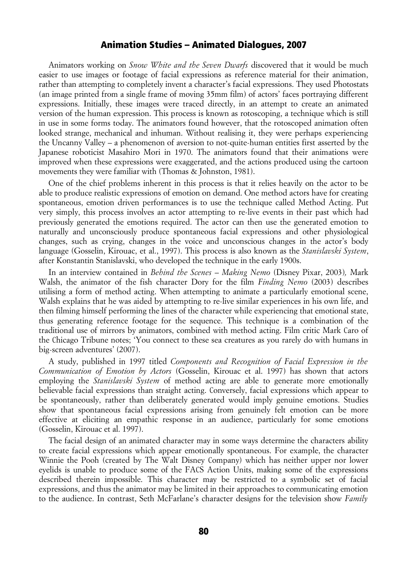Animators working on *Snow White and the Seven Dwarfs* discovered that it would be much easier to use images or footage of facial expressions as reference material for their animation, rather than attempting to completely invent a character's facial expressions. They used Photostats (an image printed from a single frame of moving 35mm film) of actors' faces portraying different expressions. Initially, these images were traced directly, in an attempt to create an animated version of the human expression. This process is known as rotoscoping, a technique which is still in use in some forms today. The animators found however, that the rotoscoped animation often looked strange, mechanical and inhuman. Without realising it, they were perhaps experiencing the Uncanny Valley – a phenomenon of aversion to not-quite-human entities first asserted by the Japanese roboticist Masahiro Mori in 1970. The animators found that their animations were improved when these expressions were exaggerated, and the actions produced using the cartoon movements they were familiar with (Thomas & Johnston, 1981).

One of the chief problems inherent in this process is that it relies heavily on the actor to be able to produce realistic expressions of emotion on demand. One method actors have for creating spontaneous, emotion driven performances is to use the technique called Method Acting. Put very simply, this process involves an actor attempting to re-live events in their past which had previously generated the emotions required. The actor can then use the generated emotion to naturally and unconsciously produce spontaneous facial expressions and other physiological changes, such as crying, changes in the voice and unconscious changes in the actor's body language (Gosselin, Kirouac, et al., 1997). This process is also known as the *Stanislavski System*, after Konstantin Stanislavski, who developed the technique in the early 1900s.

In an interview contained in *Behind the Scenes – Making Nemo* (Disney Pixar, 2003)*,* Mark Walsh, the animator of the fish character Dory for the film *Finding Nemo* (2003) describes utilising a form of method acting. When attempting to animate a particularly emotional scene, Walsh explains that he was aided by attempting to re-live similar experiences in his own life, and then filming himself performing the lines of the character while experiencing that emotional state, thus generating reference footage for the sequence. This technique is a combination of the traditional use of mirrors by animators, combined with method acting. Film critic Mark Caro of the Chicago Tribune notes; 'You connect to these sea creatures as you rarely do with humans in big-screen adventures' (2007).

A study, published in 1997 titled *Components and Recognition of Facial Expression in the Communication of Emotion by Actors* (Gosselin, Kirouac et al. 1997) has shown that actors employing the *Stanislavski System* of method acting are able to generate more emotionally believable facial expressions than straight acting. Conversely, facial expressions which appear to be spontaneously, rather than deliberately generated would imply genuine emotions. Studies show that spontaneous facial expressions arising from genuinely felt emotion can be more effective at eliciting an empathic response in an audience, particularly for some emotions (Gosselin, Kirouac et al. 1997).

The facial design of an animated character may in some ways determine the characters ability to create facial expressions which appear emotionally spontaneous. For example, the character Winnie the Pooh (created by The Walt Disney Company) which has neither upper nor lower eyelids is unable to produce some of the FACS Action Units, making some of the expressions described therein impossible. This character may be restricted to a symbolic set of facial expressions, and thus the animator may be limited in their approaches to communicating emotion to the audience. In contrast, Seth McFarlane's character designs for the television show *Family*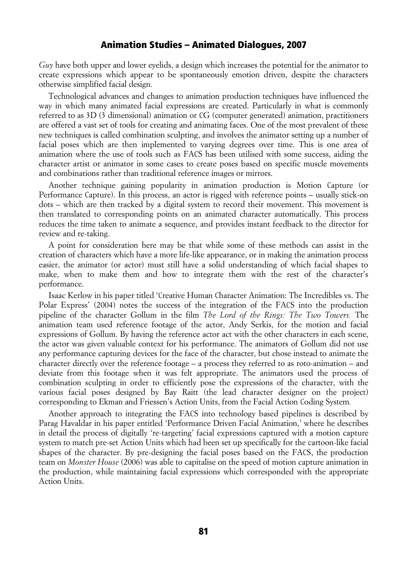*Guy* have both upper and lower eyelids, a design which increases the potential for the animator to create expressions which appear to be spontaneously emotion driven, despite the characters otherwise simplified facial design.

Technological advances and changes to animation production techniques have influenced the way in which many animated facial expressions are created. Particularly in what is commonly referred to as 3D (3 dimensional) animation or CG (computer generated) animation, practitioners are offered a vast set of tools for creating and animating faces. One of the most prevalent of these new techniques is called combination sculpting, and involves the animator setting up a number of facial poses which are then implemented to varying degrees over time. This is one area of animation where the use of tools such as FACS has been utilised with some success, aiding the character artist or animator in some cases to create poses based on specific muscle movements and combinations rather than traditional reference images or mirrors.

Another technique gaining popularity in animation production is Motion Capture (or Performance Capture). In this process, an actor is rigged with reference points – usually stick-on dots – which are then tracked by a digital system to record their movement. This movement is then translated to corresponding points on an animated character automatically. This process reduces the time taken to animate a sequence, and provides instant feedback to the director for review and re-taking.

A point for consideration here may be that while some of these methods can assist in the creation of characters which have a more life-like appearance, or in making the animation process easier, the animator (or actor) must still have a solid understanding of which facial shapes to make, when to make them and how to integrate them with the rest of the character's performance.

Isaac Kerlow in his paper titled 'Creative Human Character Animation: The Incredibles vs. The Polar Express' (2004) notes the success of the integration of the FACS into the production pipeline of the character Gollum in the film *The Lord of the Rings: The Two Towers.* The animation team used reference footage of the actor, Andy Serkis, for the motion and facial expressions of Gollum. By having the reference actor act with the other characters in each scene, the actor was given valuable context for his performance. The animators of Gollum did not use any performance capturing devices for the face of the character, but chose instead to animate the character directly over the reference footage – a process they referred to as roto-animation – and deviate from this footage when it was felt appropriate. The animators used the process of combination sculpting in order to efficiently pose the expressions of the character, with the various facial poses designed by Bay Raitt (the lead character designer on the project) corresponding to Ekman and Friessen's Action Units, from the Facial Action Coding System*.*

Another approach to integrating the FACS into technology based pipelines is described by Parag Havaldar in his paper entitled 'Performance Driven Facial Animation,' where he describes in detail the process of digitally 're-targeting' facial expressions captured with a motion capture system to match pre-set Action Units which had been set up specifically for the cartoon-like facial shapes of the character. By pre-designing the facial poses based on the FACS, the production team on *Monster House* (2006) was able to capitalise on the speed of motion capture animation in the production, while maintaining facial expressions which corresponded with the appropriate Action Units.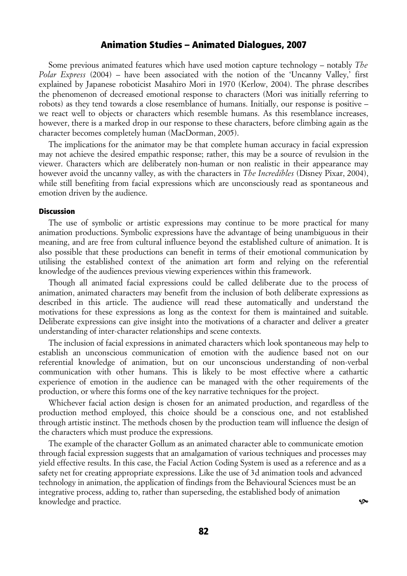Some previous animated features which have used motion capture technology – notably *The Polar Express* (2004) – have been associated with the notion of the 'Uncanny Valley,' first explained by Japanese roboticist Masahiro Mori in 1970 (Kerlow, 2004). The phrase describes the phenomenon of decreased emotional response to characters (Mori was initially referring to robots) as they tend towards a close resemblance of humans. Initially, our response is positive – we react well to objects or characters which resemble humans. As this resemblance increases, however, there is a marked drop in our response to these characters, before climbing again as the character becomes completely human (MacDorman, 2005).

The implications for the animator may be that complete human accuracy in facial expression may not achieve the desired empathic response; rather, this may be a source of revulsion in the viewer. Characters which are deliberately non-human or non realistic in their appearance may however avoid the uncanny valley, as with the characters in *The Incredibles* (Disney Pixar, 2004), while still benefiting from facial expressions which are unconsciously read as spontaneous and emotion driven by the audience.

#### **Discussion**

The use of symbolic or artistic expressions may continue to be more practical for many animation productions. Symbolic expressions have the advantage of being unambiguous in their meaning, and are free from cultural influence beyond the established culture of animation. It is also possible that these productions can benefit in terms of their emotional communication by utilising the established context of the animation art form and relying on the referential knowledge of the audiences previous viewing experiences within this framework.

Though all animated facial expressions could be called deliberate due to the process of animation, animated characters may benefit from the inclusion of both deliberate expressions as described in this article. The audience will read these automatically and understand the motivations for these expressions as long as the context for them is maintained and suitable. Deliberate expressions can give insight into the motivations of a character and deliver a greater understanding of inter-character relationships and scene contexts.

The inclusion of facial expressions in animated characters which look spontaneous may help to establish an unconscious communication of emotion with the audience based not on our referential knowledge of animation, but on our unconscious understanding of non-verbal communication with other humans. This is likely to be most effective where a cathartic experience of emotion in the audience can be managed with the other requirements of the production, or where this forms one of the key narrative techniques for the project.

Whichever facial action design is chosen for an animated production, and regardless of the production method employed, this choice should be a conscious one, and not established through artistic instinct. The methods chosen by the production team will influence the design of the characters which must produce the expressions.

The example of the character Gollum as an animated character able to communicate emotion through facial expression suggests that an amalgamation of various techniques and processes may yield effective results. In this case, the Facial Action Coding System is used as a reference and as a safety net for creating appropriate expressions. Like the use of 3d animation tools and advanced technology in animation, the application of findings from the Behavioural Sciences must be an integrative process, adding to, rather than superseding, the established body of animation knowledge and practice.